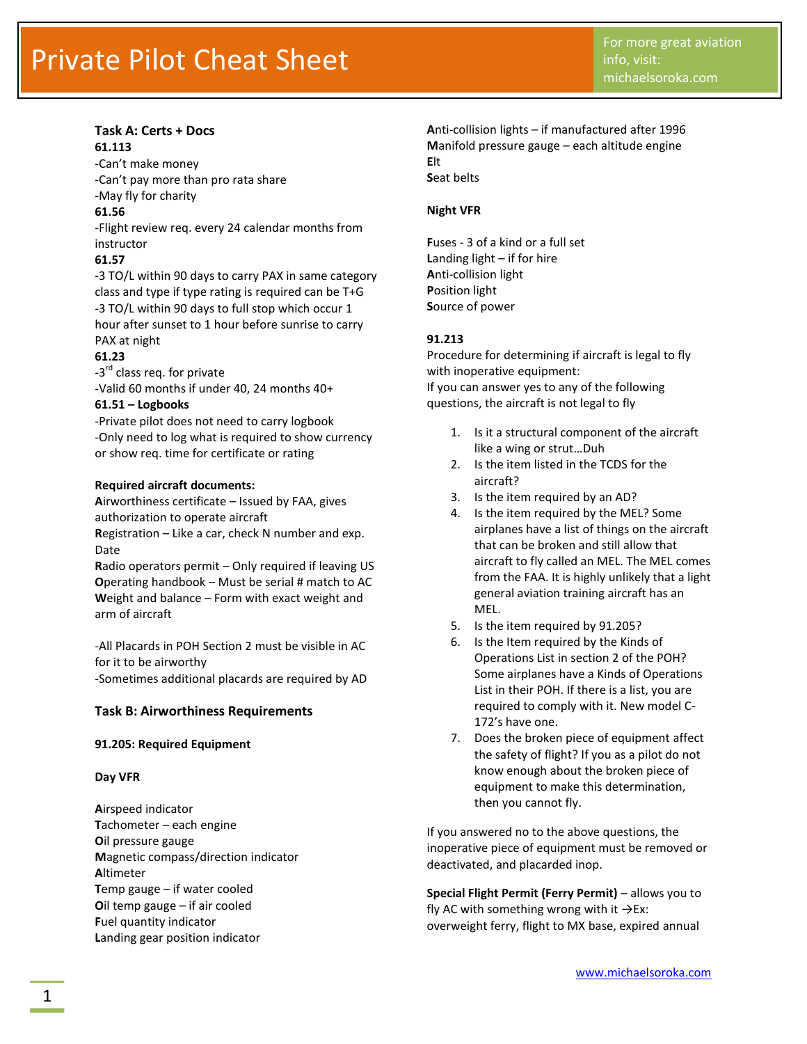#### **Task A: Certs + Docs 61.113**

-Can't make money -Can't pay more than pro rata share

-May fly for charity

# **61.56**

-Flight review req. every 24 calendar months from instructor

# **61.57**

-3 TO/L within 90 days to carry PAX in same category class and type if type rating is required can be T+G -3 TO/L within 90 days to full stop which occur 1 hour after sunset to 1 hour before sunrise to carry PAX at night

# **61.23**

-3<sup>rd</sup> class req. for private -Valid 60 months if under 40, 24 months 40+

# **61.51 – Logbooks**

-Private pilot does not need to carry logbook -Only need to log what is required to show currency or show req. time for certificate or rating

# **Required aircraft documents:**

**A**irworthiness certificate – Issued by FAA, gives authorization to operate aircraft

**R**egistration – Like a car, check N number and exp. Date

**R**adio operators permit – Only required if leaving US **O**perating handbook – Must be serial # match to AC **W**eight and balance – Form with exact weight and arm of aircraft

-All Placards in POH Section 2 must be visible in AC for it to be airworthy -Sometimes additional placards are required by AD

# **Task B: Airworthiness Requirements**

# **91.205: Required Equipment**

# **Day VFR**

**A**irspeed indicator **T**achometer – each engine **O**il pressure gauge **M**agnetic compass/direction indicator **A**ltimeter **T**emp gauge – if water cooled **O**il temp gauge – if air cooled **F**uel quantity indicator **L**anding gear position indicator

**A**nti-collision lights – if manufactured after 1996 **M**anifold pressure gauge – each altitude engine **E**lt **S**eat belts

# **Night VFR**

**F**uses - 3 of a kind or a full set **L**anding light – if for hire **A**nti-collision light **P**osition light **S**ource of power

# **91.213**

Procedure for determining if aircraft is legal to fly with inoperative equipment: If you can answer yes to any of the following questions, the aircraft is not legal to fly

- 1. Is it a structural component of the aircraft like a wing or strut…Duh
- 2. Is the item listed in the TCDS for the aircraft?
- 3. Is the item required by an AD?
- 4. Is the item required by the MEL? Some airplanes have a list of things on the aircraft that can be broken and still allow that aircraft to fly called an MEL. The MEL comes from the FAA. It is highly unlikely that a light general aviation training aircraft has an MEL.
- 5. Is the item required by 91.205?
- 6. Is the Item required by the Kinds of Operations List in section 2 of the POH? Some airplanes have a Kinds of Operations List in their POH. If there is a list, you are required to comply with it. New model C-172's have one.
- 7. Does the broken piece of equipment affect the safety of flight? If you as a pilot do not know enough about the broken piece of equipment to make this determination, then you cannot fly.

If you answered no to the above questions, the inoperative piece of equipment must be removed or deactivated, and placarded inop.

**Special Flight Permit (Ferry Permit)** – allows you to fly AC with something wrong with it  $\rightarrow$ Ex: overweight ferry, flight to MX base, expired annual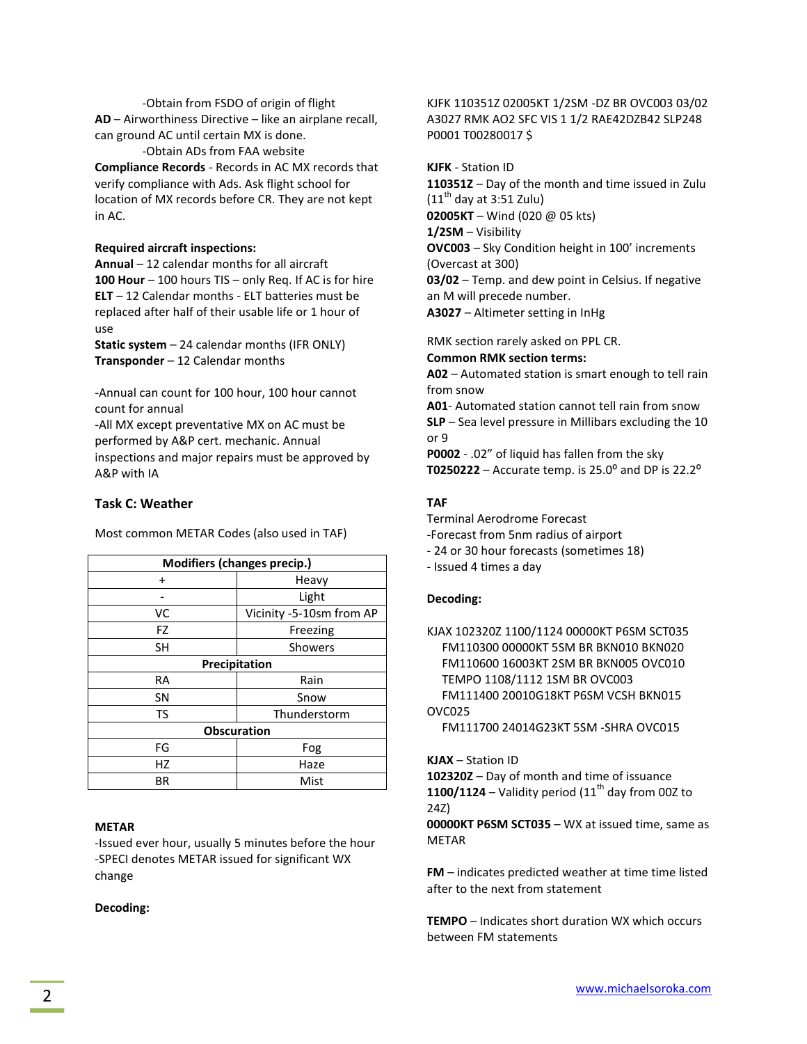-Obtain from FSDO of origin of flight **AD** – Airworthiness Directive – like an airplane recall, can ground AC until certain MX is done.

-Obtain ADs from FAA website **Compliance Records** - Records in AC MX records that verify compliance with Ads. Ask flight school for location of MX records before CR. They are not kept in AC.

#### **Required aircraft inspections:**

**Annual** – 12 calendar months for all aircraft **100 Hour** – 100 hours TIS – only Req. If AC is for hire **ELT** – 12 Calendar months - ELT batteries must be replaced after half of their usable life or 1 hour of use

**Static system** – 24 calendar months (IFR ONLY) **Transponder** – 12 Calendar months

-Annual can count for 100 hour, 100 hour cannot count for annual

-All MX except preventative MX on AC must be performed by A&P cert. mechanic. Annual inspections and major repairs must be approved by A&P with IA

Most common METAR Codes (also used in TAF)

#### **Task C: Weather**

**Modifiers (changes precip.)** + Heavy - Light VC Vicinity -5-10sm from AP FZ **Freezing** SH Showers **Precipitation** RA | Rain SN Snow TS Thunderstorm **Obscuration** FG | Fog HZ | Haze BR | Mist

#### **METAR**

-Issued ever hour, usually 5 minutes before the hour -SPECI denotes METAR issued for significant WX change

#### **Decoding:**

KJFK 110351Z 02005KT 1/2SM -DZ BR OVC003 03/02 A3027 RMK AO2 SFC VIS 1 1/2 RAE42DZB42 SLP248 P0001 T00280017 \$

**KJFK** - Station ID **110351Z** – Day of the month and time issued in Zulu  $(11<sup>th</sup>$  day at 3:51 Zulu) **02005KT** – Wind (020 @ 05 kts) **1/2SM** – Visibility

**OVC003** – Sky Condition height in 100' increments (Overcast at 300)

**03/02** – Temp. and dew point in Celsius. If negative an M will precede number.

**A3027** – Altimeter setting in InHg

RMK section rarely asked on PPL CR. **Common RMK section terms: A02** – Automated station is smart enough to tell rain

from snow **A01**- Automated station cannot tell rain from snow **SLP** – Sea level pressure in Millibars excluding the 10 or 9

**P0002** - .02" of liquid has fallen from the sky **T0250222** – Accurate temp. is  $25.0^{\circ}$  and DP is  $22.2^{\circ}$ 

#### **TAF**

Terminal Aerodrome Forecast -Forecast from 5nm radius of airport

- 24 or 30 hour forecasts (sometimes 18)
- Issued 4 times a day

#### **Decoding:**

KJAX 102320Z 1100/1124 00000KT P6SM SCT035 FM110300 00000KT 5SM BR BKN010 BKN020 FM110600 16003KT 2SM BR BKN005 OVC010 TEMPO 1108/1112 1SM BR OVC003 FM111400 20010G18KT P6SM VCSH BKN015 OVC025

FM111700 24014G23KT 5SM -SHRA OVC015

**KJAX** – Station ID

**102320Z** – Day of month and time of issuance **1100/1124** – Validity period  $(11<sup>th</sup>$  day from 00Z to 24Z)

**00000KT P6SM SCT035** – WX at issued time, same as METAR

**FM** – indicates predicted weather at time time listed after to the next from statement

**TEMPO** – Indicates short duration WX which occurs between FM statements

[www.michaelsoroka.com](http://www.michaelsoroka.com/) www.michaelsoroka.com www.michaelsoroka.com www.michaelsoroka.com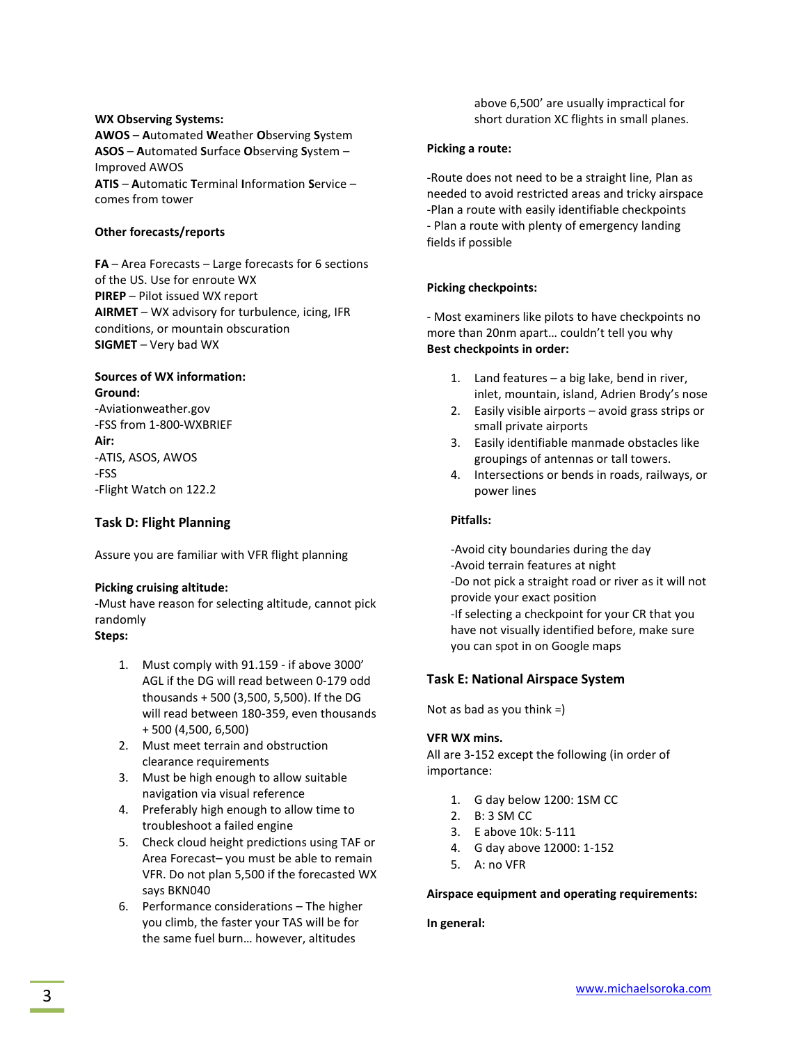#### **WX Observing Systems:**

**AWOS** – **A**utomated **W**eather **O**bserving **S**ystem **ASOS** – **A**utomated **S**urface **O**bserving **S**ystem – Improved AWOS **ATIS** – **A**utomatic **T**erminal **I**nformation **S**ervice – comes from tower

#### **Other forecasts/reports**

**FA** – Area Forecasts – Large forecasts for 6 sections of the US. Use for enroute WX **PIREP** – Pilot issued WX report **AIRMET** – WX advisory for turbulence, icing, IFR conditions, or mountain obscuration **SIGMET** – Very bad WX

# **Sources of WX information: Ground:**

-Aviationweather.gov -FSS from 1-800-WXBRIEF **Air:** -ATIS, ASOS, AWOS -FSS -Flight Watch on 122.2

# **Task D: Flight Planning**

Assure you are familiar with VFR flight planning

#### **Picking cruising altitude:**

-Must have reason for selecting altitude, cannot pick randomly

# **Steps:**

- 1. Must comply with 91.159 if above 3000' AGL if the DG will read between 0-179 odd thousands + 500 (3,500, 5,500). If the DG will read between 180-359, even thousands + 500 (4,500, 6,500)
- 2. Must meet terrain and obstruction clearance requirements
- 3. Must be high enough to allow suitable navigation via visual reference
- 4. Preferably high enough to allow time to troubleshoot a failed engine
- 5. Check cloud height predictions using TAF or Area Forecast– you must be able to remain VFR. Do not plan 5,500 if the forecasted WX says BKN040
- 6. Performance considerations The higher you climb, the faster your TAS will be for the same fuel burn… however, altitudes

above 6,500' are usually impractical for short duration XC flights in small planes.

#### **Picking a route:**

-Route does not need to be a straight line, Plan as needed to avoid restricted areas and tricky airspace -Plan a route with easily identifiable checkpoints - Plan a route with plenty of emergency landing fields if possible

#### **Picking checkpoints:**

- Most examiners like pilots to have checkpoints no more than 20nm apart… couldn't tell you why **Best checkpoints in order:**

- 1. Land features a big lake, bend in river, inlet, mountain, island, Adrien Brody's nose
- 2. Easily visible airports avoid grass strips or small private airports
- 3. Easily identifiable manmade obstacles like groupings of antennas or tall towers.
- 4. Intersections or bends in roads, railways, or power lines

#### **Pitfalls:**

-Avoid city boundaries during the day -Avoid terrain features at night -Do not pick a straight road or river as it will not provide your exact position -If selecting a checkpoint for your CR that you have not visually identified before, make sure you can spot in on Google maps

#### **Task E: National Airspace System**

Not as bad as you think  $=$ )

#### **VFR WX mins.**

All are 3-152 except the following (in order of importance:

- 1. G day below 1200: 1SM CC
- 2. B: 3 SM CC
- 3. E above 10k: 5-111
- 4. G day above 12000: 1-152
- 5. A: no VFR

#### **Airspace equipment and operating requirements:**

#### **In general:**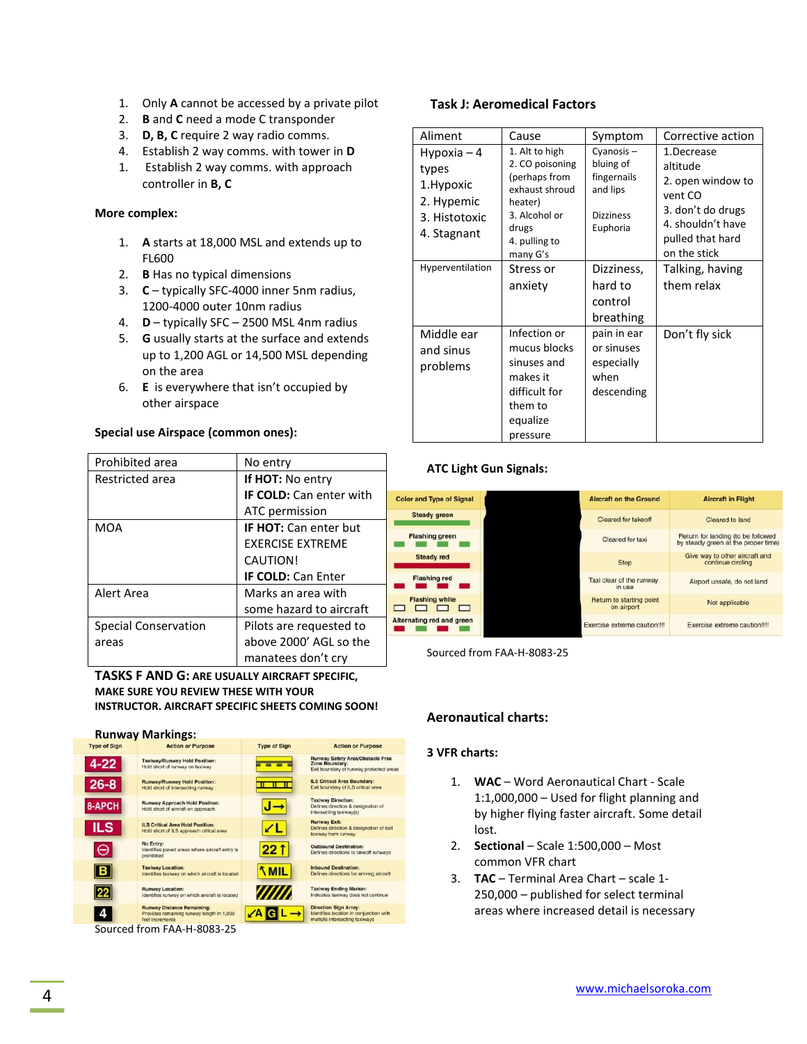- 1. Only **A** cannot be accessed by a private pilot
- 2. **B** and **C** need a mode C transponder
- 3. **D, B, C** require 2 way radio comms.
- 4. Establish 2 way comms. with tower in **D**
- 1. Establish 2 way comms. with approach controller in **B, C**

#### **More complex:**

- 1. **A** starts at 18,000 MSL and extends up to FL600
- 2. **B** Has no typical dimensions
- 3. **C** typically SFC-4000 inner 5nm radius, 1200-4000 outer 10nm radius
- 4. **D** typically SFC 2500 MSL 4nm radius
- 5. **G** usually starts at the surface and extends up to 1,200 AGL or 14,500 MSL depending on the area
- 6. **E** is everywhere that isn't occupied by other airspace

#### **Special use Airspace (common ones):**

| Prohibited area      | No entry                       |  |
|----------------------|--------------------------------|--|
| Restricted area      | <b>If HOT:</b> No entry        |  |
|                      | <b>IF COLD:</b> Can enter with |  |
|                      | ATC permission                 |  |
| MOA                  | <b>IF HOT:</b> Can enter but   |  |
|                      | <b>FXFRCISE EXTREME</b>        |  |
|                      | <b>CAUTION!</b>                |  |
|                      | <b>IF COLD: Can Enter</b>      |  |
| Alert Area           | Marks an area with             |  |
|                      | some hazard to aircraft        |  |
| Special Conservation | Pilots are requested to        |  |
| areas                | above 2000' AGL so the         |  |
|                      | manatees don't cry             |  |

**TASKS F AND G: ARE USUALLY AIRCRAFT SPECIFIC, MAKE SURE YOU REVIEW THESE WITH YOUR INSTRUCTOR. AIRCRAFT SPECIFIC SHEETS COMING SOON!**



Sourced from FAA-H-8083-25

# **Task J: Aeromedical Factors**

| Aliment                                                                           | Cause                                                                                                                                  | Symptom                                                                           | Corrective action                                                                                                                    |
|-----------------------------------------------------------------------------------|----------------------------------------------------------------------------------------------------------------------------------------|-----------------------------------------------------------------------------------|--------------------------------------------------------------------------------------------------------------------------------------|
| Hypoxia $-4$<br>types<br>1. Hypoxic<br>2. Hypemic<br>3. Histotoxic<br>4. Stagnant | 1. Alt to high<br>2. CO poisoning<br>(perhaps from<br>exhaust shroud<br>heater)<br>3. Alcohol or<br>drugs<br>4. pulling to<br>many G's | Cyanosis-<br>bluing of<br>fingernails<br>and lips<br><b>Dizziness</b><br>Euphoria | 1.Decrease<br>altitude<br>2. open window to<br>vent CO<br>3. don't do drugs<br>4. shouldn't have<br>pulled that hard<br>on the stick |
| Hyperventilation                                                                  | Stress or<br>anxiety                                                                                                                   | Dizziness,<br>hard to<br>control<br>breathing                                     | Talking, having<br>them relax                                                                                                        |
| Middle ear<br>and sinus<br>problems                                               | Infection or<br>mucus blocks<br>sinuses and<br>makes it<br>difficult for<br>them to<br>equalize<br>pressure                            | pain in ear<br>or sinuses<br>especially<br>when<br>descending                     | Don't fly sick                                                                                                                       |

# **ATC Light Gun Signals:**

| <b>Color and Type of Signal</b> | <b>Aircraft on the Ground</b>          | <b>Aircraft in Flight</b>                                                 |
|---------------------------------|----------------------------------------|---------------------------------------------------------------------------|
| <b>Steady green</b>             | Cleared for takeoff                    | Cleared to land                                                           |
| <b>Flashing green</b>           | Cleared for taxi                       | Return for landing (to be followed<br>by steady green at the proper time) |
| <b>Steady red</b>               | <b>Stop</b>                            | Give way to other aircraft and<br>continue circling                       |
| <b>Flashing red</b>             | Taxi clear of the runway<br>in use     | Airport unsafe, do not land                                               |
| <b>Flashing white</b>           | Return to starting point<br>on airport | Not applicable                                                            |
| Iternating red and green        | Exercise extreme caution!!!!           | Exercise extreme caution!!!!                                              |

Sourced from FAA-H-8083-25

# **Aeronautical charts:**

#### **3 VFR charts:**

- 1. **WAC** Word Aeronautical Chart Scale 1:1,000,000 – Used for flight planning and by higher flying faster aircraft. Some detail lost.
- 2. **Sectional** Scale 1:500,000 Most common VFR chart
- 3. **TAC** Terminal Area Chart scale 1- 250,000 – published for select terminal areas where increased detail is necessary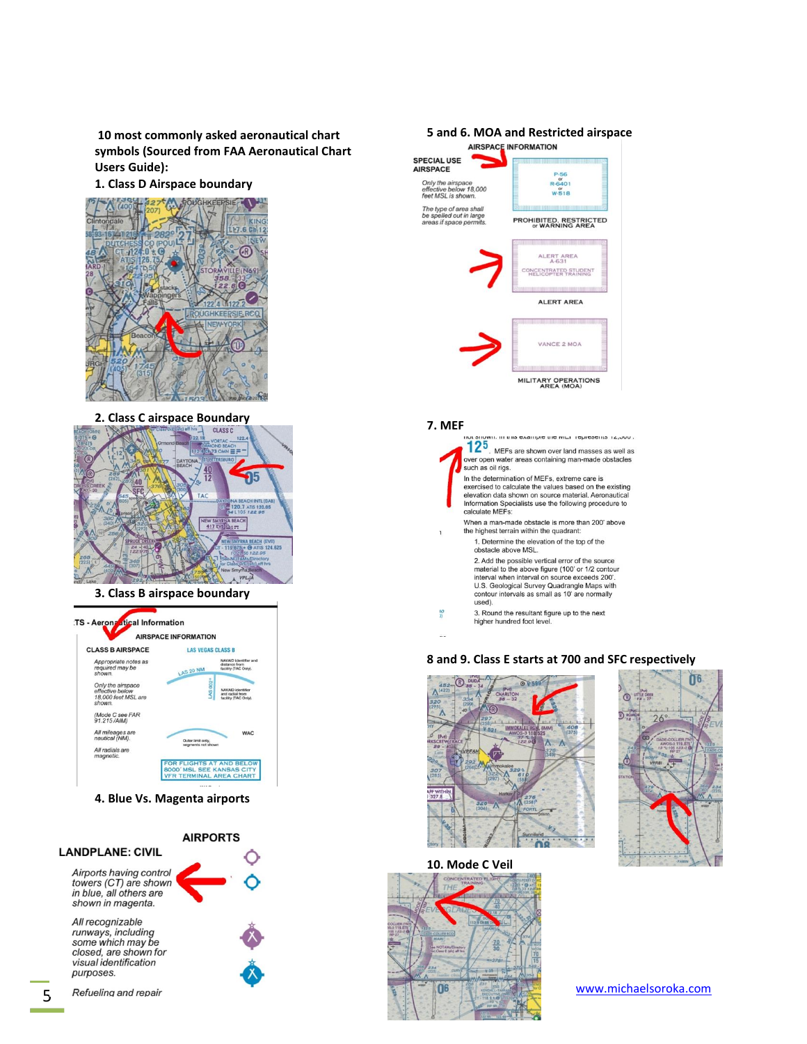**10 most commonly asked aeronautical chart symbols (Sourced from FAA Aeronautical Chart Users Guide):** 

#### **1. Class D Airspace boundary**



# **2. Class C airspace Boundary**



#### **3. Class B airspace boundary**



**4. Blue Vs. Magenta airports**



some which may be closed, are shown for visual identification purposes.

# **5 and 6. MOA and Restricted airspace SPECIAL USE AIRSPACE**  $R - 6401$ <br> $W - 518$ Only the airspace<br>effective below 18,000<br>feet MSL is shown. The type of area shall<br>be spelled out in large<br>areas if space permits. **PROHIBITED, RESTRICTED**<br>or WARNING AREA ALERT AREA **INCENTRATED STUDENT**<br>HELICOPTER TRAINING ALERT AREA VANCE 2 MOA MILITARY OPERATIONS<br>AREA (MOA)

#### **7. MEF**



#### **8 and 9. Class E starts at 700 and SFC respectively**





**10. Mode C Veil**